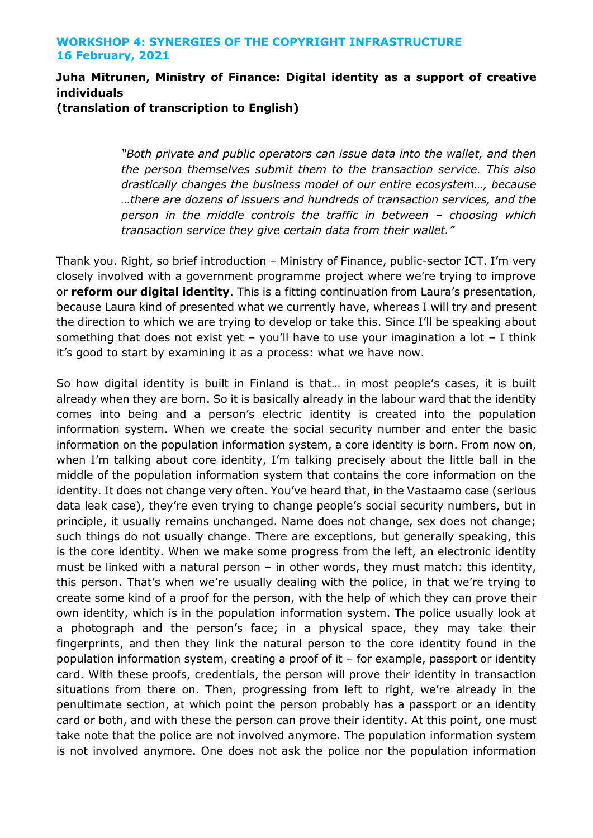# **Juha Mitrunen, Ministry of Finance: Digital identity as a support of creative individuals**

**(translation of transcription to English)**

*"Both private and public operators can issue data into the wallet, and then the person themselves submit them to the transaction service. This also drastically changes the business model of our entire ecosystem…, because …there are dozens of issuers and hundreds of transaction services, and the person in the middle controls the traffic in between – choosing which transaction service they give certain data from their wallet."*

Thank you. Right, so brief introduction – Ministry of Finance, public-sector ICT. I'm very closely involved with a government programme project where we're trying to improve or **reform our digital identity**. This is a fitting continuation from Laura's presentation, because Laura kind of presented what we currently have, whereas I will try and present the direction to which we are trying to develop or take this. Since I'll be speaking about something that does not exist yet – you'll have to use your imagination a lot  $-$  I think it's good to start by examining it as a process: what we have now.

So how digital identity is built in Finland is that… in most people's cases, it is built already when they are born. So it is basically already in the labour ward that the identity comes into being and a person's electric identity is created into the population information system. When we create the social security number and enter the basic information on the population information system, a core identity is born. From now on, when I'm talking about core identity, I'm talking precisely about the little ball in the middle of the population information system that contains the core information on the identity. It does not change very often. You've heard that, in the Vastaamo case (serious data leak case), they're even trying to change people's social security numbers, but in principle, it usually remains unchanged. Name does not change, sex does not change; such things do not usually change. There are exceptions, but generally speaking, this is the core identity. When we make some progress from the left, an electronic identity must be linked with a natural person – in other words, they must match: this identity, this person. That's when we're usually dealing with the police, in that we're trying to create some kind of a proof for the person, with the help of which they can prove their own identity, which is in the population information system. The police usually look at a photograph and the person's face; in a physical space, they may take their fingerprints, and then they link the natural person to the core identity found in the population information system, creating a proof of it – for example, passport or identity card. With these proofs, credentials, the person will prove their identity in transaction situations from there on. Then, progressing from left to right, we're already in the penultimate section, at which point the person probably has a passport or an identity card or both, and with these the person can prove their identity. At this point, one must take note that the police are not involved anymore. The population information system is not involved anymore. One does not ask the police nor the population information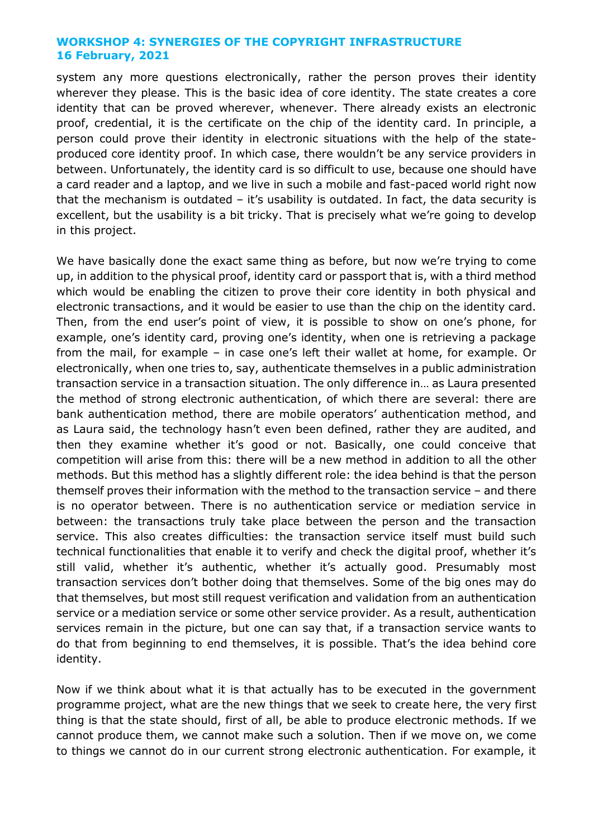system any more questions electronically, rather the person proves their identity wherever they please. This is the basic idea of core identity. The state creates a core identity that can be proved wherever, whenever. There already exists an electronic proof, credential, it is the certificate on the chip of the identity card. In principle, a person could prove their identity in electronic situations with the help of the stateproduced core identity proof. In which case, there wouldn't be any service providers in between. Unfortunately, the identity card is so difficult to use, because one should have a card reader and a laptop, and we live in such a mobile and fast-paced world right now that the mechanism is outdated  $-$  it's usability is outdated. In fact, the data security is excellent, but the usability is a bit tricky. That is precisely what we're going to develop in this project.

We have basically done the exact same thing as before, but now we're trying to come up, in addition to the physical proof, identity card or passport that is, with a third method which would be enabling the citizen to prove their core identity in both physical and electronic transactions, and it would be easier to use than the chip on the identity card. Then, from the end user's point of view, it is possible to show on one's phone, for example, one's identity card, proving one's identity, when one is retrieving a package from the mail, for example – in case one's left their wallet at home, for example. Or electronically, when one tries to, say, authenticate themselves in a public administration transaction service in a transaction situation. The only difference in… as Laura presented the method of strong electronic authentication, of which there are several: there are bank authentication method, there are mobile operators' authentication method, and as Laura said, the technology hasn't even been defined, rather they are audited, and then they examine whether it's good or not. Basically, one could conceive that competition will arise from this: there will be a new method in addition to all the other methods. But this method has a slightly different role: the idea behind is that the person themself proves their information with the method to the transaction service – and there is no operator between. There is no authentication service or mediation service in between: the transactions truly take place between the person and the transaction service. This also creates difficulties: the transaction service itself must build such technical functionalities that enable it to verify and check the digital proof, whether it's still valid, whether it's authentic, whether it's actually good. Presumably most transaction services don't bother doing that themselves. Some of the big ones may do that themselves, but most still request verification and validation from an authentication service or a mediation service or some other service provider. As a result, authentication services remain in the picture, but one can say that, if a transaction service wants to do that from beginning to end themselves, it is possible. That's the idea behind core identity.

Now if we think about what it is that actually has to be executed in the government programme project, what are the new things that we seek to create here, the very first thing is that the state should, first of all, be able to produce electronic methods. If we cannot produce them, we cannot make such a solution. Then if we move on, we come to things we cannot do in our current strong electronic authentication. For example, it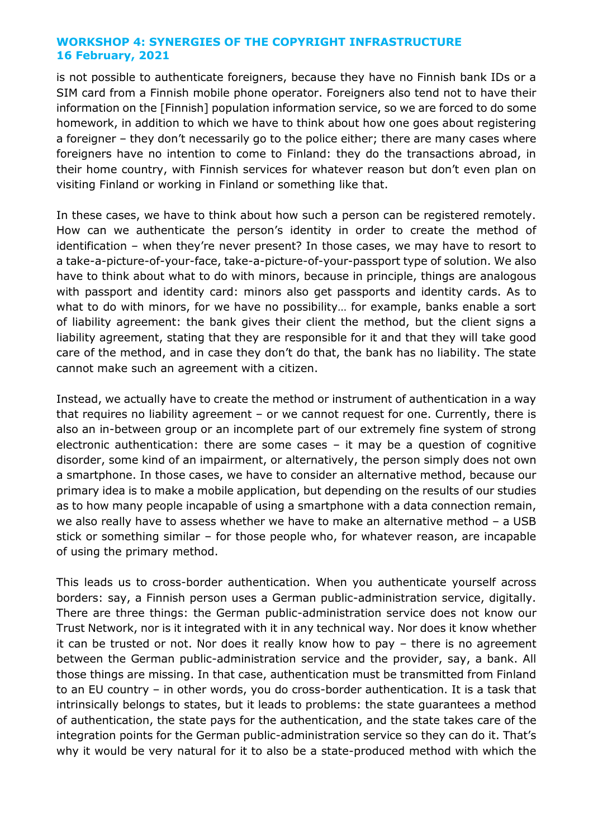is not possible to authenticate foreigners, because they have no Finnish bank IDs or a SIM card from a Finnish mobile phone operator. Foreigners also tend not to have their information on the [Finnish] population information service, so we are forced to do some homework, in addition to which we have to think about how one goes about registering a foreigner – they don't necessarily go to the police either; there are many cases where foreigners have no intention to come to Finland: they do the transactions abroad, in their home country, with Finnish services for whatever reason but don't even plan on visiting Finland or working in Finland or something like that.

In these cases, we have to think about how such a person can be registered remotely. How can we authenticate the person's identity in order to create the method of identification – when they're never present? In those cases, we may have to resort to a take-a-picture-of-your-face, take-a-picture-of-your-passport type of solution. We also have to think about what to do with minors, because in principle, things are analogous with passport and identity card: minors also get passports and identity cards. As to what to do with minors, for we have no possibility… for example, banks enable a sort of liability agreement: the bank gives their client the method, but the client signs a liability agreement, stating that they are responsible for it and that they will take good care of the method, and in case they don't do that, the bank has no liability. The state cannot make such an agreement with a citizen.

Instead, we actually have to create the method or instrument of authentication in a way that requires no liability agreement – or we cannot request for one. Currently, there is also an in-between group or an incomplete part of our extremely fine system of strong electronic authentication: there are some cases – it may be a question of cognitive disorder, some kind of an impairment, or alternatively, the person simply does not own a smartphone. In those cases, we have to consider an alternative method, because our primary idea is to make a mobile application, but depending on the results of our studies as to how many people incapable of using a smartphone with a data connection remain, we also really have to assess whether we have to make an alternative method – a USB stick or something similar – for those people who, for whatever reason, are incapable of using the primary method.

This leads us to cross-border authentication. When you authenticate yourself across borders: say, a Finnish person uses a German public-administration service, digitally. There are three things: the German public-administration service does not know our Trust Network, nor is it integrated with it in any technical way. Nor does it know whether it can be trusted or not. Nor does it really know how to pay – there is no agreement between the German public-administration service and the provider, say, a bank. All those things are missing. In that case, authentication must be transmitted from Finland to an EU country – in other words, you do cross-border authentication. It is a task that intrinsically belongs to states, but it leads to problems: the state guarantees a method of authentication, the state pays for the authentication, and the state takes care of the integration points for the German public-administration service so they can do it. That's why it would be very natural for it to also be a state-produced method with which the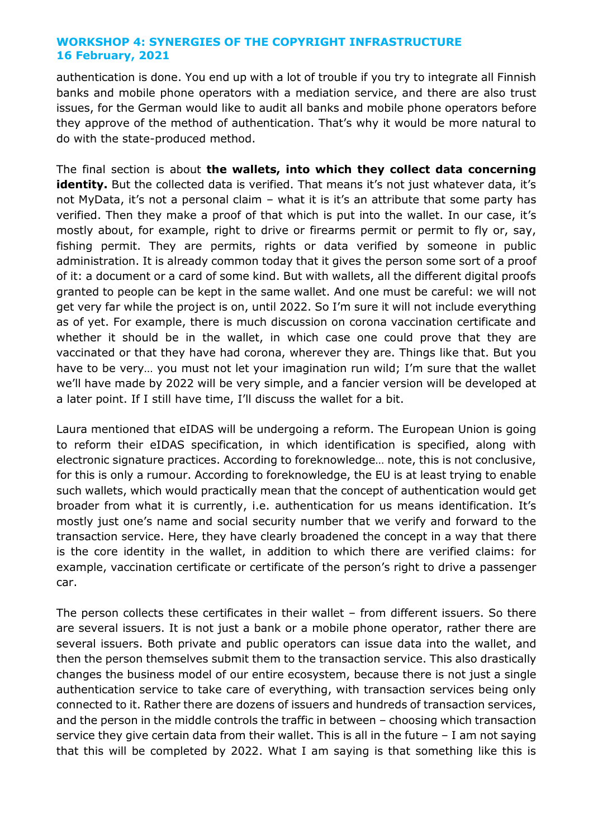authentication is done. You end up with a lot of trouble if you try to integrate all Finnish banks and mobile phone operators with a mediation service, and there are also trust issues, for the German would like to audit all banks and mobile phone operators before they approve of the method of authentication. That's why it would be more natural to do with the state-produced method.

The final section is about **the wallets, into which they collect data concerning**  identity. But the collected data is verified. That means it's not just whatever data, it's not MyData, it's not a personal claim – what it is it's an attribute that some party has verified. Then they make a proof of that which is put into the wallet. In our case, it's mostly about, for example, right to drive or firearms permit or permit to fly or, say, fishing permit. They are permits, rights or data verified by someone in public administration. It is already common today that it gives the person some sort of a proof of it: a document or a card of some kind. But with wallets, all the different digital proofs granted to people can be kept in the same wallet. And one must be careful: we will not get very far while the project is on, until 2022. So I'm sure it will not include everything as of yet. For example, there is much discussion on corona vaccination certificate and whether it should be in the wallet, in which case one could prove that they are vaccinated or that they have had corona, wherever they are. Things like that. But you have to be very… you must not let your imagination run wild; I'm sure that the wallet we'll have made by 2022 will be very simple, and a fancier version will be developed at a later point. If I still have time, I'll discuss the wallet for a bit.

Laura mentioned that eIDAS will be undergoing a reform. The European Union is going to reform their eIDAS specification, in which identification is specified, along with electronic signature practices. According to foreknowledge… note, this is not conclusive, for this is only a rumour. According to foreknowledge, the EU is at least trying to enable such wallets, which would practically mean that the concept of authentication would get broader from what it is currently, i.e. authentication for us means identification. It's mostly just one's name and social security number that we verify and forward to the transaction service. Here, they have clearly broadened the concept in a way that there is the core identity in the wallet, in addition to which there are verified claims: for example, vaccination certificate or certificate of the person's right to drive a passenger car.

The person collects these certificates in their wallet – from different issuers. So there are several issuers. It is not just a bank or a mobile phone operator, rather there are several issuers. Both private and public operators can issue data into the wallet, and then the person themselves submit them to the transaction service. This also drastically changes the business model of our entire ecosystem, because there is not just a single authentication service to take care of everything, with transaction services being only connected to it. Rather there are dozens of issuers and hundreds of transaction services, and the person in the middle controls the traffic in between – choosing which transaction service they give certain data from their wallet. This is all in the future - I am not saying that this will be completed by 2022. What I am saying is that something like this is